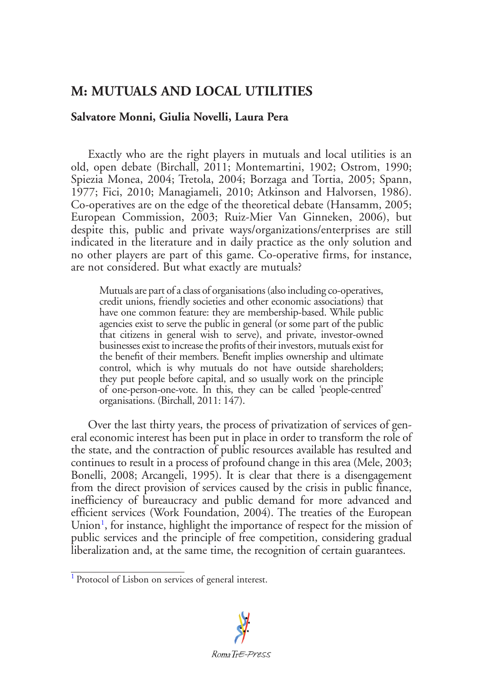## **M: MUTUALS AND LOCAL UTILITIES**

## **Salvatore Monni, Giulia Novelli, Laura Pera**

Exactly who are the right players in mutuals and local utilities is an old, open debate (Birchall, 2011; Montemartini, 1902; Ostrom, 1990; Spiezia Monea, 2004; Tretola, 2004; Borzaga and Tortia, 2005; Spann, 1977; Fici, 2010; Managiameli, 2010; Atkinson and Halvorsen, 1986). Co-operatives are on the edge of the theoretical debate (Hansamm, 2005; European Commission, 2003; Ruiz-Mier Van Ginneken, 2006), but despite this, public and private ways/organizations/enterprises are still indicated in the literature and in daily practice as the only solution and no other players are part of this game. Co-operative firms, for instance, are not considered. But what exactly are mutuals?

Mutuals are part of a class of organisations (also including co-operatives, credit unions, friendly societies and other economic associations) that have one common feature: they are membership-based. While public agencies exist to serve the public in general (or some part of the public that citizens in general wish to serve), and private, investor-owned businesses exist to increase the profits of their investors, mutuals exist for the benefit of their members. Benefit implies ownership and ultimate control, which is why mutuals do not have outside shareholders; they put people before capital, and so usually work on the principle of one-person-one-vote. In this, they can be called 'people-centred' organisations. (Birchall, 2011: 147).

Over the last thirty years, the process of privatization of services of general economic interest has been put in place in order to transform the role of the state, and the contraction of public resources available has resulted and continues to result in a process of profound change in this area (Mele, 2003; Bonelli, 2008; Arcangeli, 1995). It is clear that there is a disengagement from the direct provision of services caused by the crisis in public finance, inefficiency of bureaucracy and public demand for more advanced and efficient services (Work Foundation, 2004). The treaties of the European Union<sup>[1](#page-0-0)</sup>, for instance, highlight the importance of respect for the mission of public services and the principle of free competition, considering gradual liberalization and, at the same time, the recognition of certain guarantees.

<span id="page-0-1"></span><span id="page-0-0"></span>[<sup>1</sup>](#page-0-1) Protocol of Lisbon on services of general interest.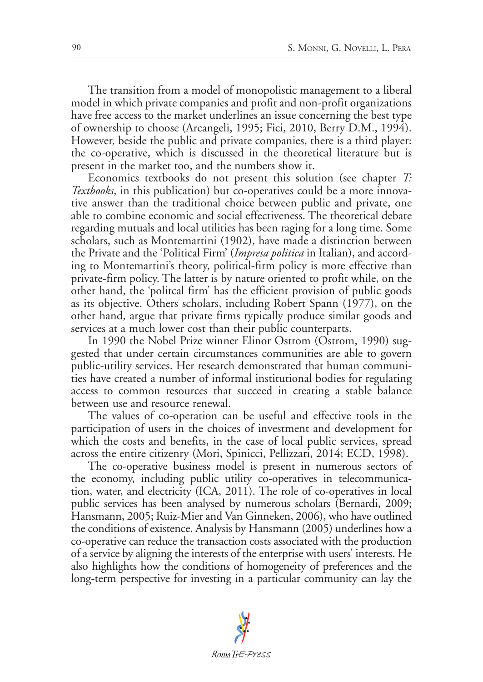The transition from a model of monopolistic management to a liberal model in which private companies and profit and non-profit organizations have free access to the market underlines an issue concerning the best type of ownership to choose (Arcangeli, 1995; Fici, 2010, Berry D.M., 1994). However, beside the public and private companies, there is a third player: the co-operative, which is discussed in the theoretical literature but is present in the market too, and the numbers show it.

Economics textbooks do not present this solution (see chapter *T: Textbooks*, in this publication) but co-operatives could be a more innovative answer than the traditional choice between public and private, one able to combine economic and social effectiveness. The theoretical debate regarding mutuals and local utilities has been raging for a long time. Some scholars, such as Montemartini (1902), have made a distinction between the Private and the 'Political Firm' (*Impresa politica* in Italian), and according to Montemartini's theory, political-firm policy is more effective than private-firm policy. The latter is by nature oriented to profit while, on the other hand, the 'politcal firm' has the efficient provision of public goods as its objective. Others scholars, including Robert Spann (1977), on the other hand, argue that private firms typically produce similar goods and services at a much lower cost than their public counterparts.

In 1990 the Nobel Prize winner Elinor Ostrom (Ostrom, 1990) suggested that under certain circumstances communities are able to govern public-utility services. Her research demonstrated that human communities have created a number of informal institutional bodies for regulating access to common resources that succeed in creating a stable balance between use and resource renewal.

The values of co-operation can be useful and effective tools in the participation of users in the choices of investment and development for which the costs and benefits, in the case of local public services, spread across the entire citizenry (Mori, Spinicci, Pellizzari, 2014; ECD, 1998).

The co-operative business model is present in numerous sectors of the economy, including public utility co-operatives in telecommunication, water, and electricity (ICA, 2011). The role of co-operatives in local public services has been analysed by numerous scholars (Bernardi, 2009; Hansmann, 2005; Ruiz-Mier and Van Ginneken, 2006), who have outlined the conditions of existence. Analysis by Hansmann (2005) underlines how a co-operative can reduce the transaction costs associated with the production of a service by aligning the interests of the enterprise with users' interests. He also highlights how the conditions of homogeneity of preferences and the long-term perspective for investing in a particular community can lay the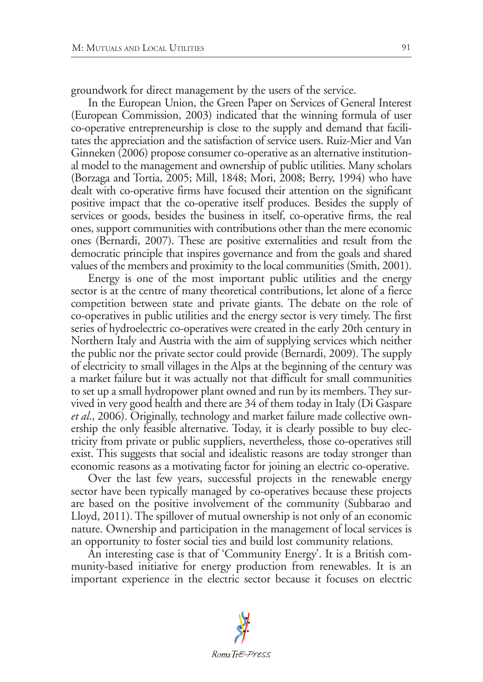groundwork for direct management by the users of the service.

In the European Union, the Green Paper on Services of General Interest (European Commission, 2003) indicated that the winning formula of user co-operative entrepreneurship is close to the supply and demand that facilitates the appreciation and the satisfaction of service users. Ruiz-Mier and Van Ginneken (2006) propose consumer co-operative as an alternative institutional model to the management and ownership of public utilities. Many scholars (Borzaga and Tortia, 2005; Mill, 1848; Mori, 2008; Berry, 1994) who have dealt with co-operative firms have focused their attention on the significant positive impact that the co-operative itself produces. Besides the supply of services or goods, besides the business in itself, co-operative firms, the real ones, support communities with contributions other than the mere economic ones (Bernardi, 2007). These are positive externalities and result from the democratic principle that inspires governance and from the goals and shared values of the members and proximity to the local communities (Smith, 2001).

Energy is one of the most important public utilities and the energy sector is at the centre of many theoretical contributions, let alone of a fierce competition between state and private giants. The debate on the role of co-operatives in public utilities and the energy sector is very timely. The first series of hydroelectric co-operatives were created in the early 20th century in Northern Italy and Austria with the aim of supplying services which neither the public nor the private sector could provide (Bernardi, 2009). The supply of electricity to small villages in the Alps at the beginning of the century was a market failure but it was actually not that difficult for small communities to set up a small hydropower plant owned and run by its members. They survived in very good health and there are 34 of them today in Italy (Di Gaspare *et al*., 2006). Originally, technology and market failure made collective ownership the only feasible alternative. Today, it is clearly possible to buy electricity from private or public suppliers, nevertheless, those co-operatives still exist. This suggests that social and idealistic reasons are today stronger than economic reasons as a motivating factor for joining an electric co-operative.

Over the last few years, successful projects in the renewable energy sector have been typically managed by co-operatives because these projects are based on the positive involvement of the community (Subbarao and Lloyd, 2011). The spillover of mutual ownership is not only of an economic nature. Ownership and participation in the management of local services is an opportunity to foster social ties and build lost community relations.

An interesting case is that of 'Community Energy'. It is a British community-based initiative for energy production from renewables. It is an important experience in the electric sector because it focuses on electric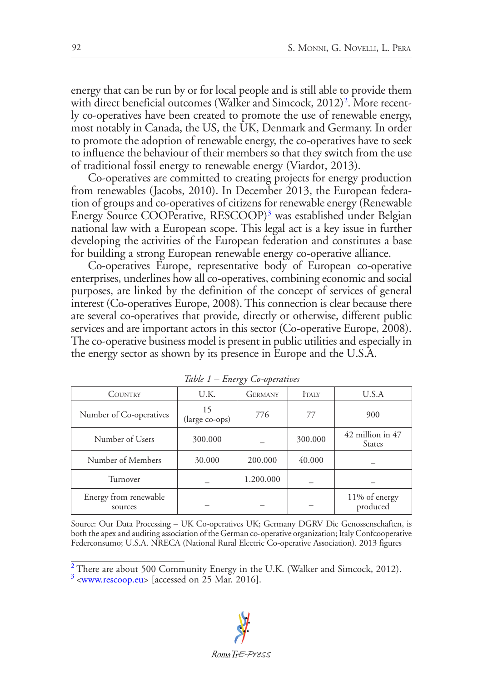<span id="page-3-2"></span>energy that can be run by or for local people and is still able to provide them with direct beneficial outcomes (Walker and Simcock, [2](#page-3-0)012)<sup>2</sup>. More recently co-operatives have been created to promote the use of renewable energy, most notably in Canada, the US, the UK, Denmark and Germany. In order to promote the adoption of renewable energy, the co-operatives have to seek to influence the behaviour of their members so that they switch from the use of traditional fossil energy to renewable energy (Viardot, 2013).

<span id="page-3-3"></span>Co-operatives are committed to creating projects for energy production from renewables (Jacobs, 2010). In December 2013, the European federation of groups and co-operatives of citizens for renewable energy (Renewable Energy Source COOPerative, RESCOOP)[3](#page-3-1) was established under Belgian national law with a European scope. This legal act is a key issue in further developing the activities of the European federation and constitutes a base for building a strong European renewable energy co-operative alliance.

Co-operatives Europe, representative body of European co-operative enterprises, underlines how all co-operatives, combining economic and social purposes, are linked by the definition of the concept of services of general interest (Co-operatives Europe, 2008). This connection is clear because there are several co-operatives that provide, directly or otherwise, different public services and are important actors in this sector (Co-operative Europe, 2008). The co-operative business model is present in public utilities and especially in the energy sector as shown by its presence in Europe and the U.S.A.

| <b>COUNTRY</b>                   | U.K.                 | <b>GERMANY</b> | <b>ITALY</b> | U.S.A                             |
|----------------------------------|----------------------|----------------|--------------|-----------------------------------|
| Number of Co-operatives          | 15<br>(large co-ops) | 776            | 77           | 900                               |
| Number of Users                  | 300,000              |                | 300.000      | 42 million in 47<br><b>States</b> |
| Number of Members                | 30.000               | 200.000        | 40.000       |                                   |
| Turnover                         |                      | 1.200.000      |              |                                   |
| Energy from renewable<br>sources |                      |                |              | 11% of energy<br>produced         |

*Table 1 – Energy Co-operatives*

Source: Our Data Processing – UK Co-operatives UK; Germany DGRV Die Genossenschaften, is both the apex and auditing association of the German co-operative organization; Italy Confcooperative Federconsumo; U.S.A. NRECA (National Rural Electric Co-operative Association). 2013 figures

<span id="page-3-0"></span><sup>&</sup>lt;sup>[2](#page-3-2)</sup> There are about 500 Community Energy in the U.K. (Walker and Simcock, 2012).  $\frac{3}{3}$  $\frac{3}{3}$  $\frac{3}{3}$  [<www.rescoop.eu](www.rescoop.eu)> [accessed on 25 Mar. 2016].

<span id="page-3-1"></span>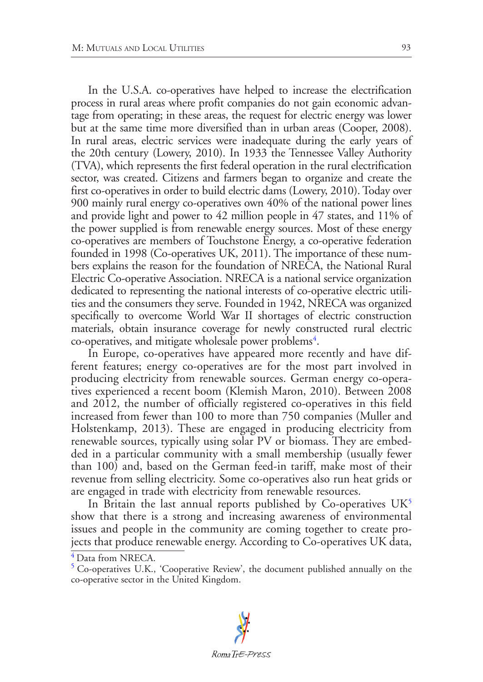In the U.S.A. co-operatives have helped to increase the electrification process in rural areas where profit companies do not gain economic advantage from operating; in these areas, the request for electric energy was lower but at the same time more diversified than in urban areas (Cooper, 2008). In rural areas, electric services were inadequate during the early years of the 20th century (Lowery, 2010). In 1933 the Tennessee Valley Authority (TVA), which represents the first federal operation in the rural electrification sector, was created. Citizens and farmers began to organize and create the first co-operatives in order to build electric dams (Lowery, 2010). Today over 900 mainly rural energy co-operatives own 40% of the national power lines and provide light and power to 42 million people in 47 states, and 11% of the power supplied is from renewable energy sources. Most of these energy co-operatives are members of Touchstone Energy, a co-operative federation founded in 1998 (Co-operatives UK, 2011). The importance of these numbers explains the reason for the foundation of NRECA, the National Rural Electric Co-operative Association. NRECA is a national service organization dedicated to representing the national interests of co-operative electric utilities and the consumers they serve. Founded in 1942, NRECA was organized specifically to overcome World War II shortages of electric construction materials, obtain insurance coverage for newly constructed rural electric co-operatives, and mitigate wholesale power problems<sup>4</sup>.

<span id="page-4-2"></span>In Europe, co-operatives have appeared more recently and have different features; energy co-operatives are for the most part involved in producing electricity from renewable sources. German energy co-operatives experienced a recent boom (Klemish Maron, 2010). Between 2008 and 2012, the number of officially registered co-operatives in this field increased from fewer than 100 to more than 750 companies (Muller and Holstenkamp, 2013). These are engaged in producing electricity from renewable sources, typically using solar PV or biomass. They are embedded in a particular community with a small membership (usually fewer than 100) and, based on the German feed-in tariff, make most of their revenue from selling electricity. Some co-operatives also run heat grids or are engaged in trade with electricity from renewable resources.

<span id="page-4-3"></span>In Britain the last annual reports published by Co-operatives  $UK<sup>5</sup>$  $UK<sup>5</sup>$  $UK<sup>5</sup>$ show that there is a strong and increasing awareness of environmental issues and people in the community are coming together to create projects that produce renewable energy. According to Co-operatives UK data,

<span id="page-4-0"></span><sup>&</sup>lt;sup>[4](#page-4-2)</sup> Data from NRECA.

<span id="page-4-1"></span>[<sup>5</sup>](#page-4-3) Co-operatives U.K., 'Cooperative Review', the document published annually on the co-operative sector in the United Kingdom.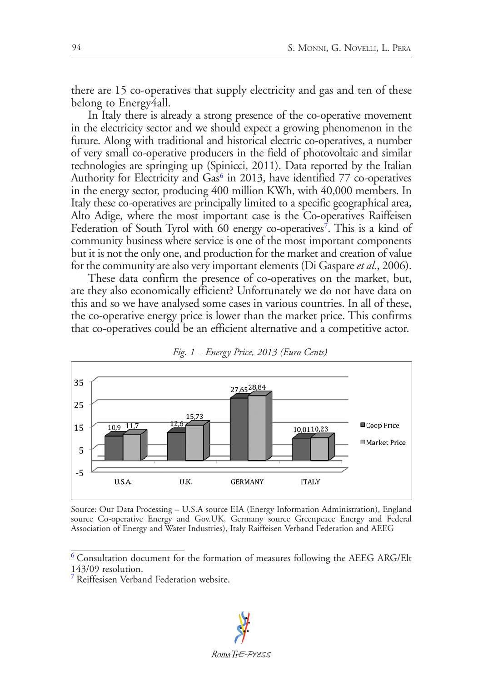there are 15 co-operatives that supply electricity and gas and ten of these belong to Energy4all.

<span id="page-5-2"></span>In Italy there is already a strong presence of the co-operative movement in the electricity sector and we should expect a growing phenomenon in the future. Along with traditional and historical electric co-operatives, a number of very small co-operative producers in the field of photovoltaic and similar technologies are springing up (Spinicci, 2011). Data reported by the Italian Authority for Electricity and Gas<sup>6</sup> in 2013, have identified 77 co-operatives in the energy sector, producing 400 million KWh, with 40,000 members. In Italy these co-operatives are principally limited to a specific geographical area, Alto Adige, where the most important case is the Co-operatives Raiffeisen Federation of South Tyrol with 60 energy co-operatives<sup>[7](#page-5-1)</sup>. This is a kind of community business where service is one of the most important components but it is not the only one, and production for the market and creation of value for the community are also very important elements (Di Gaspare *et al*., 2006).

<span id="page-5-3"></span>These data confirm the presence of co-operatives on the market, but, are they also economically efficient? Unfortunately we do not have data on this and so we have analysed some cases in various countries. In all of these, the co-operative energy price is lower than the market price. This confirms that co-operatives could be an efficient alternative and a competitive actor.





Source: Our Data Processing – U.S.A source EIA (Energy Information Administration), England source Co-operative Energy and Gov.UK, Germany source Greenpeace Energy and Federal Association of Energy and Water Industries), Italy Raiffeisen Verband Federation and AEEG

<span id="page-5-1"></span>[<sup>7</sup>](#page-5-3) Reiffesisen Verband Federation website.



<span id="page-5-0"></span> $^6$  $^6$  Consultation document for the formation of measures following the AEEG ARG/Elt  $\,$ 143/09 resolution.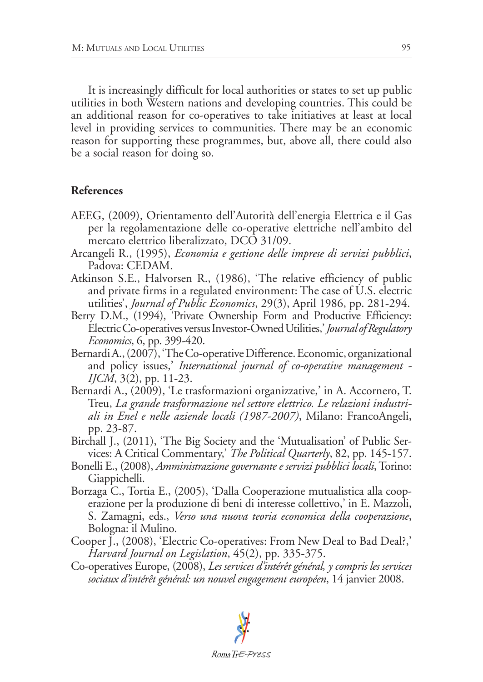It is increasingly difficult for local authorities or states to set up public utilities in both Western nations and developing countries. This could be an additional reason for co-operatives to take initiatives at least at local level in providing services to communities. There may be an economic reason for supporting these programmes, but, above all, there could also be a social reason for doing so.

## **References**

- AEEG, (2009), Orientamento dell'Autorità dell'energia Elettrica e il Gas per la regolamentazione delle co-operative elettriche nell'ambito del mercato elettrico liberalizzato, DCO 31/09.
- Arcangeli R., (1995), *Economia e gestione delle imprese di servizi pubblici*, Padova: CEDAM.
- Atkinson S.E., Halvorsen R., (1986), 'The relative efficiency of public and private firms in a regulated environment: The case of U.S. electric utilities', *Journal of Public Economics*, 29(3), April 1986, pp. 281-294.
- Berry D.M., (1994), 'Private Ownership Form and Productive Efficiency: Electric Co-operatives versus Investor-Owned Utilities,' *Journal of Regulatory Economics*, 6, pp. 399-420.
- Bernardi A., (2007), 'The Co-operative Difference. Economic, organizational and policy issues,' *International journal of co-operative management - IJCM*, 3(2), pp. 11-23.
- Bernardi A., (2009), 'Le trasformazioni organizzative,' in A. Accornero, T. Treu, *La grande trasformazione nel settore elettrico. Le relazioni industriali in Enel e nelle aziende locali (1987-2007)*, Milano: FrancoAngeli, pp. 23-87.
- Birchall J., (2011), 'The Big Society and the 'Mutualisation' of Public Services: A Critical Commentary,' *The Political Quarterly*, 82, pp. 145-157.
- Bonelli E., (2008), *Amministrazione governante e servizi pubblici locali*, Torino: Giappichelli.
- Borzaga C., Tortia E., (2005), 'Dalla Cooperazione mutualistica alla cooperazione per la produzione di beni di interesse collettivo,' in E. Mazzoli, S. Zamagni, eds., *Verso una nuova teoria economica della cooperazione*, Bologna: il Mulino.
- Cooper J., (2008), 'Electric Co-operatives: From New Deal to Bad Deal?,' *Harvard Journal on Legislation*, 45(2), pp. 335-375.
- Co-operatives Europe, (2008), *Les services d'intérêt général, y compris les services sociaux d'intérêt général: un nouvel engagement européen*, 14 janvier 2008.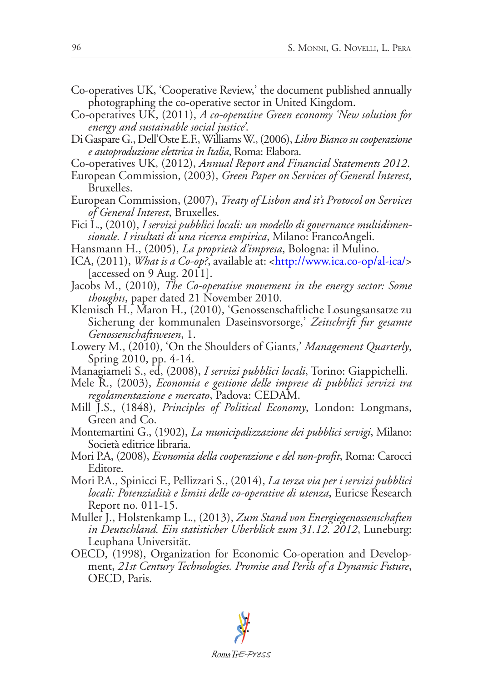- Co-operatives UK, 'Cooperative Review,' the document published annually photographing the co-operative sector in United Kingdom.
- Co-operatives UK, (2011), *A co-operative Green economy 'New solution for energy and sustainable social justice'*.
- Di Gaspare G., Dell'Oste E.F., Williams W., (2006), *Libro Bianco su cooperazione e autoproduzione elettrica in Italia*, Roma: Elabora.
- Co-operatives UK, (2012), *Annual Report and Financial Statements 2012*.
- European Commission, (2003), *Green Paper on Services of General Interest*, Bruxelles.
- European Commission, (2007), *Treaty of Lisbon and it's Protocol on Services of General Interest*, Bruxelles.
- Fici L., (2010), *I servizi pubblici locali: un modello di governance multidimensionale. I risultati di una ricerca empirica*, Milano: FrancoAngeli.
- Hansmann H., (2005), *La proprietà d'impresa*, Bologna: il Mulino.
- ICA, (2011), *What is a Co-op?*, available at: [<http://www.ica.co-op/al-ica/](http://www.ica.co-op/al-ica/)> [accessed on 9 Aug. 2011].
- Jacobs M., (2010), *The Co-operative movement in the energy sector: Some thoughts*, paper dated 21 November 2010.
- Klemisch H., Maron H*.*, (2010), 'Genossenschaftliche Losungsansatze zu Sicherung der kommunalen Daseinsvorsorge,' *Zeitschrift fur gesamte Genossenschaftswesen*, 1.
- Lowery M., (2010), 'On the Shoulders of Giants,' *Management Quarterly*, Spring 2010, pp. 4-14.
- Managiameli S., ed, (2008), *I servizi pubblici locali*, Torino: Giappichelli.
- Mele R., (2003), *Economia e gestione delle imprese di pubblici servizi tra regolamentazione e mercato*, Padova: CEDAM.
- Mill J.S., (1848), *Principles of Political Economy*, London: Longmans, Green and Co.
- Montemartini G., (1902), *La municipalizzazione dei pubblici servigi*, Milano: Società editrice libraria.
- Mori P.A, (2008), *Economia della cooperazione e del non-profit*, Roma: Carocci Editore.
- Mori P.A., Spinicci F., Pellizzari S., (2014), *La terza via per i servizi pubblici locali: Potenzialità e limiti delle co-operative di utenza*, Euricse Research Report no. 011-15.
- Muller J., Holstenkamp L., (2013), *Zum Stand von Energiegenossenschaften in Deutschland. Ein statisticher Uberblick zum 31.12. 2012*, Luneburg: Leuphana Universität.
- OECD, (1998), Organization for Economic Co-operation and Development, *21st Century Technologies. Promise and Perils of a Dynamic Future*, OECD, Paris.